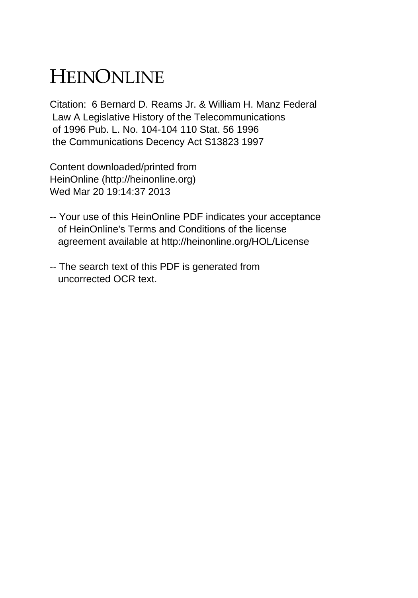# HEINONLINE

Citation: 6 Bernard D. Reams Jr. & William H. Manz Federal Law A Legislative History of the Telecommunications of 1996 Pub. L. No. 104-104 110 Stat. 56 1996 the Communications Decency Act S13823 1997

Content downloaded/printed from HeinOnline (http://heinonline.org) Wed Mar 20 19:14:37 2013

- -- Your use of this HeinOnline PDF indicates your acceptance of HeinOnline's Terms and Conditions of the license agreement available at http://heinonline.org/HOL/License
- -- The search text of this PDF is generated from uncorrected OCR text.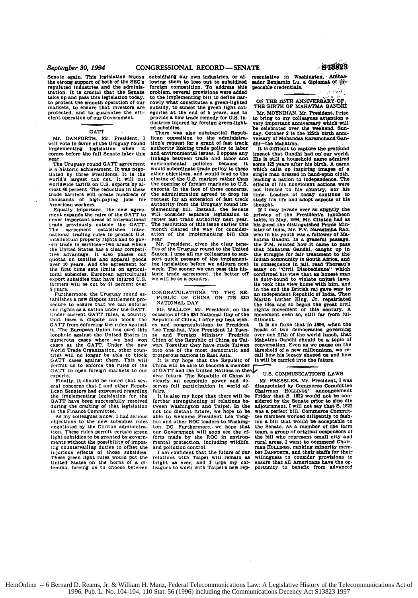Senate again. This legislation enjoys the strong support of both of the **SEC's** regulated Industries and the administration. It is crucial that the Senate<br>take up and pass this legislation today. to protect the smooth operation of our markets, to ensure that investors are protected, and to guarantee the effi-<br>cient operation of our Government.

### **GATT**

Mr. DANFORTH. Mr. President, I will vote in favor of the Uruguay round<br>implementing beginning when it Eigenbefore the full Senate later this year.<br>
The Uruguay round GATT agreement

The Uruguay round **GATr** agreement is a historic achievement. It was nego- tiated **by** three Presidents. It is the world's largest tax cut. It will cut worldwide tariffs on U.S. exports by almost 40 percent. The reduction in these trade barriers will create hundreds of<br>thousands of high-paying jobs for

American workers.<br>Equally important, the new agreement expands the rules of the GATT to cover important areas of international trade previously outside the **GATT.** The agreement establishes international trading rules to protect U.S.
intellectual property rights and to gov<sub>21</sub> trade in services-two areas where the United States has a clear competitive advantage. It also phases out quotas on textiles and apparel goods over 10 years. And the agreement for the first time sets limits on agricultural subsidies. European agricultural export subsidies that have injured U.S. farmers will be cut **by 21** percent over **<sup>6</sup>**years.

Furthermore, the Uruguay round establishes a new dispute settlement pro-<br>celure to ensure that we can enforce<br>our rights as a nation under the GATT.<br>Under current GATT rules, a country<br>that loses a dispute can block the **GATT** from enforcing the rules **against** it. The European Union has used this lcophole against the United States in numerous cases where we had won<br>cases at the GATT. Under the new<br>World Trade Organization, other coun-<br>tries will no longer be able to block GATT cases against them. This will<br>permit us to enforce the rules of the<br>GATT to open foreign markets to our<br>exports.

Finally. it should be noted that sev- eral concerns that I and other Republican Senators **had** expressed regarding the implementing legislation for the **GATT** have been successfully resolved during the drafting of that legislation in the Finance Committee.

As my colleagues know, I **had** serious objections to the new subsidies rules negotiated **by** the Clinton administration. These rules permit certain green light subsidies to be granted by governments without the possibility of impos**ing** countervailing duties to offset the injurious effects of those. subsidies. These green light rules would put the United States on the **horns** of a **di-** lemma, forcing us to choose between

subsidizing our own industries, or al-<br>lowing them to lose out to subsidized sador Benjamin Lu, a diplomat of im foreign competition. To address this peccable credentials.<br>foreign competition. To address this peccable credentials.<br>problem, several provisions were added to the implementing bill to define nar-<br>rowly what constitutes a green-lighted ON THE 125TH ANNIVERSARY-O subsidy, to sunset the green light cat. THE BIRTH OF MAHATMA GANDHI<br>egories at the end of 5 years, and to Mr. MOYNIHAN. Mr. President, I rist<br>provide a new trade remedy for U.S. in- to bring to my colleagues attention s

Ition's opposition to the administra- wersary of Mohandas Karamchand Gantion's request for a grant of fast track. dhi-the Mahatma.<br>authority linking trade policy to labor<br>authority linking trade policy to labor<br> $\frac{1}{2}$  i and environmental issues. I oppose any impact that Gandhi had on our world.<br>linkage between trade and labor and His is still a household name admired linkage between trade and labor and **His is** still a household name admired environmental policies because it some 125 years after his birth. A name<br>would subordinate trade policy to these which calls up inspiring images of a<br>other objectives, and would lead to the single man dressed in hand-spun closing of the **U.S.** market rather than leading a nation to independence. The opening of foreign markets to U.S. effects of his nonviolent actions were exports. In the face of these concerns, not limited to his country, n the administration agreed to drop its time. Leaders of today continue to request for an extension of fast track study his life and adopt aspects of his authority from the Uruguay round im-thought. plementing bill. Instead authority from the Uruguay round im-<br>plementing bill. Instead, the Senate premierants consider separate legislation to privacy of the President's luncheon<br>will consider separate legislation to privacy of the President's luncheon<br>renew fast track authority next year. table, in May, 1994, Mr. Clin will consider separate legislation to<br>renew fast track authority next year.<br>The resolution of this issue earlier this<br>month cleared the way for consider-<br>ation of the implementing bill this<br>year.<br>Mr. President, given the c

fits of the Uruguay round to the United that Mahatma Gandhi, caught up in States, I urge all my colleagues to sup- the struggle for fair treatment to the port quick passage of the implement- Indian community in South Arios ing legislation before we adjourn next in consequence in jail, read Thoreau's<br>week. The sooner we can pass this his- essay on "Civil Disobeddence" which<br>toric trade agreement, the better off confirmed his view that an hone

es and congratulations to President It is no fluke that in 1994, when the es and congratulations to President It is no fluke that in 1994, when the zu and Foreign Minister Fredrick over one fifth of the world lunch, that is a topic of the Republic of China on Tai-Mahatma Gandhi should be a topic of was more of the Republic of China or was more to the was more was the

It is my hope that the Republic of China will be able to become a member of GATT and the United Nations in the V<sub>U.S.</sub> COMMUNICATIONS LAWS near future. The Republic of China is clearly an economic power and deserves full participation in world af-<br>fairs.

dustries injured **by** foreign green-light- very important anniversary **which'will"** ed subsidies. 'be celebrated over the weekend. Sun-There **was also** substantial Repub- day, October 2 **is** the 125th birth **anml** lican opposition to the administra- versary of Mohandas Karamchnd"Gan-

Mover of mining, with twas a follower of Maharma Gandhi. In a graceful passage, the P.M. related how it came to passe that Maharma Gandhi, caught up in toric trade agreement, the better off confirmed his view that an honest man<br>we will be as country, is duty-bound to violate unjust laws.<br>He took this view home with him, and CONGRATULATIONS TO THE RE- in the end the British raj gave way to<br>PUBLIC OF CHINA ON ITS 83D Martin Luther King, Jr. repatrated<br>NATIONAL DAY Martin Luther King, Jr. repatrated<br>Mr. WALLOP. Mr. President, on the rights movem Mr. WALLOP. Mr. President, on the rights movement of this century. A consider of the 83d National Day of the movement even so, still far from ful-<br>Republic of China, I offer my best wish- fillment.

wan. Together they have made Taiwan conversation. Even as we pause on the into one of the most democratic and threshold of a new millennium, we re-<br>prosperous nations in East Asia. call how his legacy shaped us and how<br>It

Mr. PRESSLER. Mr. President, I was<br>disappointed by Commerce Committee fairs. The distribution of the control of the Chairman Hollinos' announcement It is also my hope that there will be Friday that S. 1822 would not be con-<br>It is also my hope that there will be Friday that S. 1822 would not further strengthening of relations be- sidered by the Senate prior to sine die tween Washington and Taipei. In the adjournment. I will not say that S. 1822<br>not too distant future, we hope to be was a perfect bill. Commerce not too distant future, we hope to be was a perfect bill. Commerce Committed in the control of the control of the control of the control of the house and the control of the house of the house of the house of the house of t to we home President Lee Teng. the members worked diligently to fash-hui and other ROC leaders to Washing- ion a bill that would be acceptable to ton. DC. Furthermore, we hope that the Senate. As a member of the farm our G forts made by the ROC in environ- the bill who represent small city and the bill some represent small city and the bill small city and the represent small city and represent small city and the represent small contraction. mental protection, including wildlife, rural areas, I want to commend Chair-<br>and pollution control. **man HOLLINGS**, ranking minority mem-If am confident that the future of our ber DANEORTH, and their staffs for their<br>lations with Taipei will remain as willingness to consider provisions to<br>right as ever, and I urge my col- ensure that all Americans have the Frequency with Taipei will remain as willingness to consider provisions to bright as ever, and I urge my col- ensure that all Americans have the op-<br>leagues to work with Taipei's new rep- portunity to benefit from advanced

HeinOnline -- 6 Bernard D. Reams, Jr. & William H. Manz, Federal Telecommunications Law: A Legislative History of the Telecommunications Act of 1996, Pub. L. No. 104-104, 110 Stat. 56 (1996) including the Communications Decency Act S13823 1997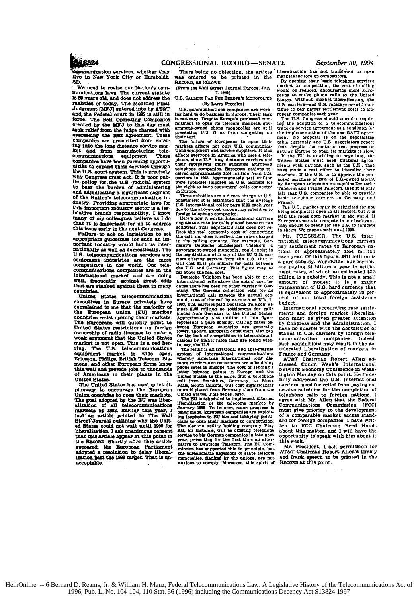$\sim$  $\mathcal{L}$ 

is not easy. Despite Europe's professed committed to open its delecommunication, even in experiment to open its delecommunication of enumeration of the failure of European is open their turf. The failure of European is op

consumers: It is estimated that the average<br>of S. International caller gays 3100 asche profiles.<br>International caller gays 3100 asche profiles does to the above-cost accounting subsidies to<br>develop to more than the main of

cause there has been no coher carrier in German<br>many. The German collection rate for an international call exceeds the actual eco-<br>nomic cost of the call by as most<br>demonstrates between Peleston almost substrume to the Cal

colors by higher rates than are found with<br>the calculations by higher rates than are found with<br>The result is an irrational and anti-market<br>rates and of international communications<br>whenhy American international long dis-

whereby American international long distribution<br>tance carriers and consumers are subsidising<br>phone rates in Europe. The cost of sending a<br>letter between points in Europe and the United States is the acall<br>international lo

The electric utility holding company Viag Captern and AG. for instance, will be offering telephone<br>service to big German companies in late next year, presenting for the first<br>many of the first time an alternative to Deutsc

We need to revise our Nation's communications laws. The **current** statute **Is 0** years old, and does not addrese the realities **of** today. The Modified Final Judgment **[MFJ]** entered into by AT&T and the Federal court in 1982 is still in force. **The** Bell Operating Companies **Created by the MFJ to this day must seek relief from the judge charged with Overseeing the 1982 agreement. These** companies are proscribed from enter-ing into the long distance service market and from manufacturing tele-oommunioations equipment. These *companies* have been pursuing opportu- nities to expand their services through the **U.S. oourt system. This is** precisely why Congress must act. It **is** poor pub-**lio policy** for.the **U.S.** judicial system to bear the burden of administering and adjudicating a significant segment **of** the Nation's telecommunication industry. Providing appropriate laws for this important industry sector is a legislative branch responsibility. I know **many of** my colleagues believe as **I** do that it **Is** Important for us to address

this issue early In the next Congress. Failure. to act **on** legislation to set appropriate guidelines for such an **im-**Portant Industry would hurt us inter- national sas well **as** domestically. The U.S. telecommunications services and equipment industries are the most competitive **In** the world. Our talecomMunications companies **are** in the international market and are **doing** well. **frequently** against great odds that are stacked against them in many countrisa,

United States telecommunications executivee in Europe privately have complained to me that the majority **of** the European Union **(EUI** member countries resist opening their markets. The Europeans will quickly point to United States restrictions on foreign ownership of radio licenses to make **a** weak argument that the United States market **is** not open. This is **a** red herring. The. **U.S.** telecommunications equIpment , market is wide open. Erlosson, **Philips,** British Telecom. Siemens. and other European firms know this. well and provide jobs to thousands of Americana in their plants in the United States.

The United States has used quiet **di**plomacy to encourage the European Union countries to open their markets. The goal adopted by the EU was liber-<br>alization of all telecommunications<br>markets by 1998. Earlier this year, I<br>had an article printed in The Wall<br>Street Journal outlining why the Unit-<br>ed States could not wait until 1998 that this article appear at this point In .the **RacoaD.** Shortly after tsd article appeared. the European Parliament adopted **a** resolution to delay liberalizationpast the **18** target. That is **un-** acceptable.

There being no objection, the article was ordered to be printed in the **RtCORD.** as follows: liberalization **has** not translated to open markets for foreign competitors.<br>By opening their basic telephone services

iFrom the Wall Street Journal Europe. July **.** 1994) **U.S. CALIS PAY** FoR **EUROPE'S** MONOPOLIES (By Larry Pressler)<br>U.S. communications companies are work-<br>ing hard to do business in Europe. Their task By opening their basic telephone services<br>market to competition, the cost of calling<br>would be reduced, encouraging more Euro-<br>peans to make phone calls to the United<br>States. Without market liberalization, the<br>U.S. carriers tinue to **pay** higher settlement costs to **Eu-**ropean companies each year. The **U.S.** Congress should consider requir-

**Ing** the adoption of a telecommunicatons trade-in-service agreement **As** a condition for the implementation **of** the **new GAT'T** agreement. No **proposal Is on** the negotiating table currently and **U.S.** negotiators report that, despite the rhetoric, real progress on getting Europe to open its markets is slow.<br>If the EU is unwilling to negotiate, the<br>United States must seek bilateral agreements with nations, such as the U.K., that<br>have made a real effort to liberalize their<br>markets. If the U.S. is to approve the pro-<br>posed purchase of 20% of U.S.-owned Sprint,<br>by European telephone monopolies Deutsche<br>Telek fair theat **U.S.** companies be able to provide basic telephone services **in** Germany and Prance.

The **U.S.** market may be criticized for **no** being completely open in **all** sectors. but it **is** still the most open market in the world. **If** Europeans want **to** compete in our backyard. they should **be ready** for the **U.S.** to compete **t0** theirs. **We** cannot wait until **1998.**

Mr. PRESSLER. The U.S. inter-<br>national telecommunications carriers pay Settlement rates to European **na**tions of approximately **55I** million **each** year. **Of** this figure. S411 million is a pure subsidy. Worldwide, our carrier. are paying \$4 billion a year in Settlement rates, of which an estimated **\$2.3** billion is a subsidy. This is not a small amount of money; it is a major outpayment of **U.S.** hard currency **that** is equivalent to approxlmately **30** per-cent of our total foreign assistance budget.

International accounting rate settlements and forelgn market liberalization must **be"** given greater attention **by** Congress and the administration. **<sup>I</sup>** have no quarrel with the acquisition of stakes in U.S. carriers by foreign tele-<br>communication companies. Indeed. communication companies. such aoquisitions may result in the **ac**celerated liberaliation of markets in

France and Germany. AT&T Chairman Robert Allen ad-dressed Comm Week's International Network Economy Conference in Washington Monday on this point. He force-fully addressed the **U.S.** International carriers' need for relief from paying excessive Subsidies for the completion of telephone calls to foreign nations. **<sup>I</sup>** agree with Mr. Allen that the Federal Communications Commission **(FCC]** must give priority to **the** development of a comparable market access standard for foreign companies. **I** have written to **FCC** Chairman Reed Hundt about **this** matter, and **I** will have the opportunity to speak with him about it this week.

Mr. President, I ask permission for AT&T Chairman Robert Allen's timely<br>and frank speech to be printed in the **RICORD** at this point.

HeinOnline -- 6 Bernard D. Reams, Jr. & William H. Manz, Federal Telecommunications Law: A Legislative History of the Telecommunications Act of 1996, Pub. L. No. 104-104, 110 Stat. 56 (1996) including the Communications Decency Act S13824 1997

**ELIAR24**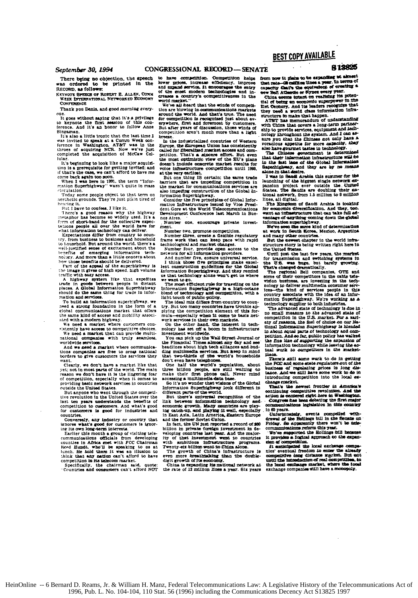There being no objection, the speed was ordered to be printed in the

**KEYNOTE SPEECH OF ROBERT E. ALL** Were forcesserossi Nerenceren Extender CONFERENCE

Thank you Denis, and good morning every-

 $_{0}$ ne ...<br>It goes without saying that it's a privilege<br>o keynote the first seasion of this conto keynote the first seasion of this conference. And it's an honor to follow Anne ..<br>"40.

It's also a little ironic that the la vas invited to speak at a Comm Week con-<br>ference in Washington. AT&T was in the threes of acquiring NCR. Now we've just<br>completed the acquisition of McCaw Cal-<br>completed the acquisition of McCaw Cal $line$ 

....<br>It's beginning to look like a major acquisi-It's beginning to loos like a major acquisite for getting invited; and<br>it that's the case, we can't afford to have me<br>orme back getting invited; and<br>othe sgain too soon.<br>When I was here in 1991, the term "Infor-<br>mation Sup

circulation.

Today some people object to that term on<br>testhetic grounds. They're just plain tired of

hearing it. scrug n.<br>But I have to confess. I like it.

There's a good reason why the highway<br>metaphor has become so widely used. It's a<br>form of short-hand for the collective expect-<br>tations poople all over the world have for what information technology can deliver

what internation differ from country to coun-<br>Expectations differ from country to coun-<br>try, from business to business and household<br>to household. But around the world, there's a well-justified sense of excitement about the Neuroline on emerging information technology.<br>And more than a little concern about<br>hology. And more than a little concern about<br>how those bondits about the delivered.<br>Part of the appeal of the superlightway is

the image it gives of high speed, high volume

one inage it gives of might speed, mga volume<br>traffic with easy access.<br>A highway system like that expedites<br>trafe in goods between people in distant<br>places. A Global Information Superhighway should do the same thing for trade in information and services.

To build an information superhighway. need a strong foundation in the form of a slobal communications market that offers ated with a modern highway.

We need a market where customers con-<br>where the market where customers con-<br>sistently have access to competitive choices.<br>We need a market that can provide multi-

national companies with truly seamless worldwide services.<br>And we need a market where communica-

tions companies are free to prose national borders to give customers the services they

"and". We don't have a market like that<br>yet; not in most parts of the world. The main reason we don't have it is the lingering fear<br>of competition, especially when it comes to<br>providing basic network services in countries outside the United States.

outside the bullows cancel through the competi-<br>tive revolution in the United States over the<br>last ten years understands the benefits of competition to customers. And what's good stomers is good for industries countries.

Conversely, any industry or country that conversely, any american process where the conditions of the state of contracts.<br>ing its own long-term interests.<br>Earlier this month a group of visiting tele-

communications officials from developing communications officials from developing<br>counties in Africa met with FCC Chairman<br>Reed Hundt, who'll be speaking to as at<br>lunch. He fold them it was an illusion to<br>think that any nation can't afford to have<br>competition in

to have competition. Competition helps<br>lower prices, increase efficiency, improve<br>and expand service. It encourages the entry  $\frac{1}{2}$ rigans service it ancourages the entry<br>re enest modern technologies and in-<br>es a country's competitiveness in the CTRAN world market.

We've all heard that the stinds of compatiwe we make the border and the world. And that's true. The need for competition is recognized just about ever compensation as a concept of contours.<br>But after years of discussion, those winds of<br>competition aren't much more than a light But afte hmee.

rocae.<br>In the industrialized countries of Western Europe, the European Union has consistently called for itheralized market access and competition. That's a sincare affort. But even the most optimistic view of the EU's plans<br>doesn't include concrete market results for voice infrastructure competition until 1998.

st the very earliest.<br>But one thing IS certain; the same trade barriers that are impeding competition in the market for communications services the market for communications services are<br>also impediag construction of the Global In-<br>formation Superhighway.<br>Consider the five principles of Global Infor-

mation infrastructure issued by Vice President Gore at the World Telecommunications Development Conference last March in Buenos Aires.

Number one, encourage private invest-

nm.<br>Number two, <del>pr</del>umpte com Number three, greate a flexible regulatory

frame work that can keep pace with rapid

frame work that can keep pace with rapid<br>Acchiological and market changes. Wunder four, provide open access to the<br>neutron four, provide open access to the<br>neutrons for all information providers.<br>And number five, ensure u want to go.

r want w gu.<br>The most efficient rule for treasfiling on the The most entered research and the state of the high-octane bind of technology and competition, with a light touch of public policy.

The ideal mix differs from country to coup-In the the main that distributed the transmitted applying the competition element of this formula-especially when the competition of basis activity when the competition of the competition when the competition of the compet

work services in them own markets.<br>On the other hand, the interest in technology has set off a boom in infrastructure<br>interatment worldwide.<br>Not can pick up the Wall Street Journal or<br>Not can pick up the Wall Street Journa

the Firancial Times almost any day and see<br>the firancial Times almost any day and see<br>deadlines about high tech alliances and bud-<br>ding multimedia services. But keep in mind don't even have telephones

One half the world's population our name term with a worst prominent and the billion people, are still waiting to make their first phone call. Never mind accessing a multimedia data base.

So it's no wonder that wiskens of the Global<br>Information Superflightway look different in<br>different parts of the world.<br>But there's universal recognition of the<br>link between information fechnology and

number of the control and playing the second control of the catch in the catch in the catch in the second playing it well, especially in East Asia, Latin America, Eastern Europe and the former Soviet Union.

and the former Soviet union.<br>In fact, the UN just reported a record of \$20<br>billion in private foreign investment in de-<br>veloping countries last wear. And the major- $157$ of that investment went to countries ny or Line messages to contribe with ambitions infrastracture programs.<br>Twenty-sizebiliton went to China alone.<br>The growth of China's infrastructure is

even more threathmating than the double-<br>even more threathmating than the double-<br>digit growth of its common.<br>China is expanding the mutional network at<br>the rate of 12 million lines a year. Six years

from now it plans to be expanding at almos that rate-20 million lines a year. In terms of

that rate-Ol califies lines a year, in series on the capacity finally of the series of the series of the series of the series of the series of the series of the series of the series of the series of the series of the line they need a world class information infraueeu a world that happen stx

ATET has memorandum of understanding And I has memorianian on innersements of the partner and tech-<br>ship to provide services, equipment and tech-<br>nology throughout the system. And I can assure you that the Chinese not only have a

mure you ansat and Enhance not compactly. they<br>you and appetite for more capacity. they<br>also have gournet tastes in technology. The Chinese gournment is determined<br>The Chinese government is determined in the Chinese spect in the fast lase of the Global Informal Superhighway, and they are by no means

s was in bases are used to the biggest single network expansion project ever outside the United States. The Saudis are doubling their manipulations that is the Saudis and the manipulations of the state of the state of the na necwork, num ito minium to s minium<br>es, all digital.<br>The Kingdom of Saudi Arabia is booking

The Kingdo Am Answers of the main facts of the solution of the solution of the solution and they, too.<br>Went an infrastructure that can take full advantage of anything coming own the global<br>information superhighway.

We've seen the same kind of determination<br>at work in Seuth Korea, Mexico, Argentina<br>and many other countries.

But the newest chapter in the world infra-<br>atructure story is being written right here in the Ugited States.

Until just the last few years, the market or transmission and writching systems in<br>the U.S. was huge, but barely growing.<br>That's changed dramatically.

That's changed dramatically.<br>The regional Bell companies, GTE and some of their competitors in the cable tele-<br>rision business, are investing in the technical prior<br>nology to deliver multimedia consumer services-the kind o country associate with the idea of an information Superhighway. We're working as a technology supplier to both industries.

The advanced state of technology is due in no small measure to the advanced state of competition in the U.S. market. For a sariety of reasons, the fuel of choice on our National Information Superbightest is hierded<br>to mail information Superbightest is hierded<br>in about squal parts of technology and competition. And so far, public policy has walked peasant mass of supporting the arpention of<br>information technology while leaving the ac-<br>tual work to competitors in the market-

There's abill some work to do in g ettine second some semi-acme were to do in getting<br>the PCC and some state regulators out of the<br>business of regulating prices in long dis-<br>banco. And we still have some work to do in introducing competition into the local exchange market.

change measure.<br>That's the newest frontier in America's<br>continuing competitive revolution, And the<br>action is cantered right here in Washington. Congress has been debating the first major<br>commentcations legislation in this country in 60 vears.

Ilpfortunabels. events compelled withdrawed of the Hutlings bill in the Separator and of the Hutlings bill in the Separator of the sale-<br>Friday. So apparently there won't be take-communications reform this year.

We've supported the Hollings full because<br>it provides a logical approach to the expansien of commetables.

*poundair.*<br>sched the local exchange commun īt A singularized unit and materials of the singularized units.<br>Initial freedom to emiss the singularized competitive long distance markst. But soit unit<br>initial freedom freedom of real competitive, in the local condenge mark

## **BEST COPY AVAILABLE**

## 8 13825